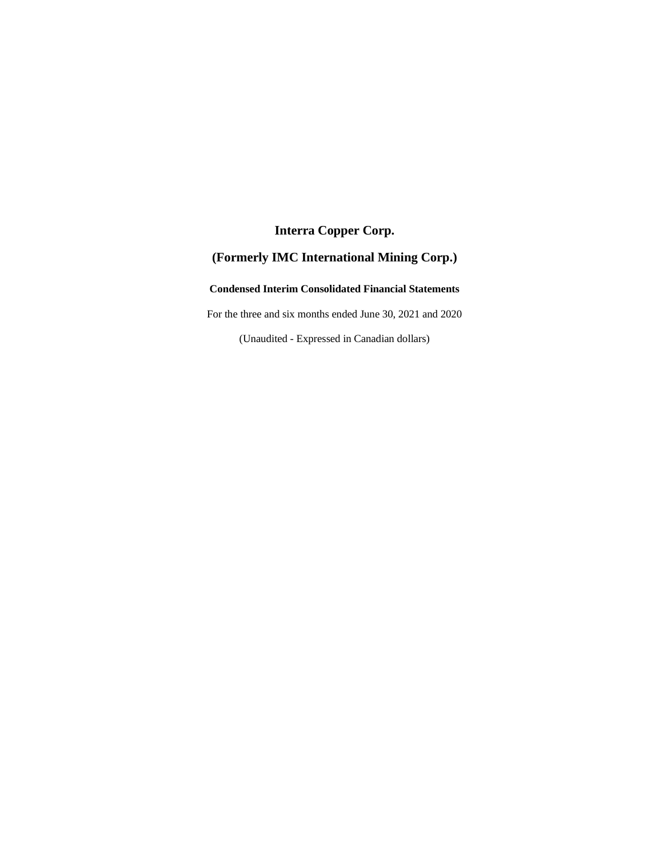# **Interra Copper Corp.**

# **(Formerly IMC International Mining Corp.)**

## **Condensed Interim Consolidated Financial Statements**

For the three and six months ended June 30, 2021 and 2020

(Unaudited - Expressed in Canadian dollars)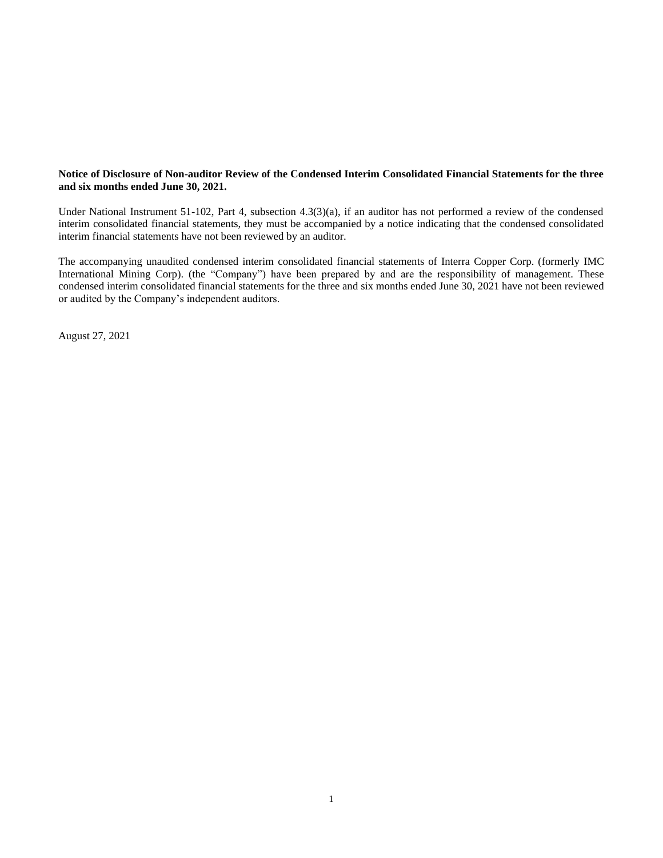## **Notice of Disclosure of Non-auditor Review of the Condensed Interim Consolidated Financial Statements for the three and six months ended June 30, 2021.**

Under National Instrument 51-102, Part 4, subsection 4.3(3)(a), if an auditor has not performed a review of the condensed interim consolidated financial statements, they must be accompanied by a notice indicating that the condensed consolidated interim financial statements have not been reviewed by an auditor.

The accompanying unaudited condensed interim consolidated financial statements of Interra Copper Corp. (formerly IMC International Mining Corp). (the "Company") have been prepared by and are the responsibility of management. These condensed interim consolidated financial statements for the three and six months ended June 30, 2021 have not been reviewed or audited by the Company's independent auditors.

August 27, 2021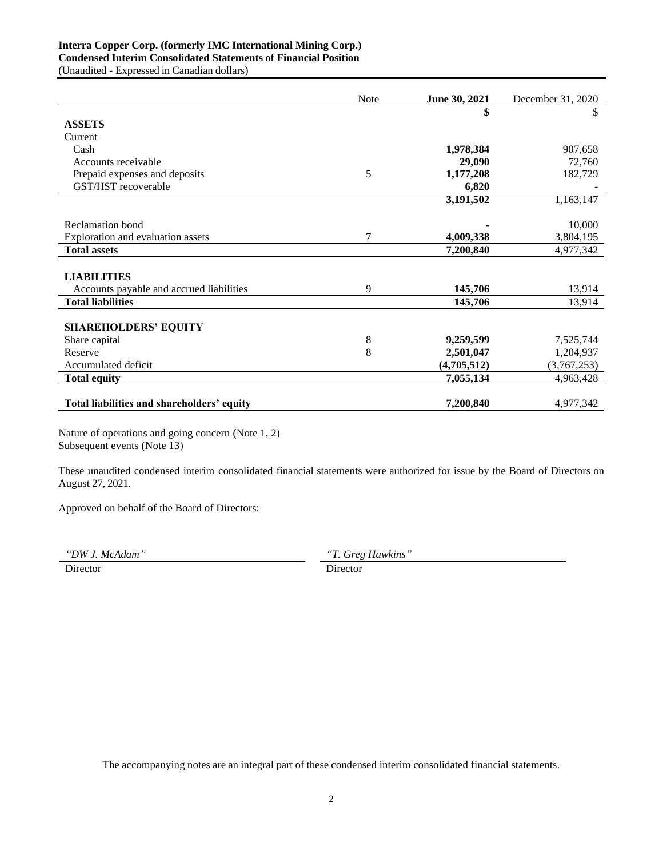## **Interra Copper Corp. (formerly IMC International Mining Corp.) Condensed Interim Consolidated Statements of Financial Position**

(Unaudited - Expressed in Canadian dollars)

|                                            | Note        | June 30, 2021 | December 31, 2020 |
|--------------------------------------------|-------------|---------------|-------------------|
|                                            |             | \$            | \$                |
| <b>ASSETS</b>                              |             |               |                   |
| Current                                    |             |               |                   |
| Cash                                       |             | 1,978,384     | 907,658           |
| Accounts receivable                        |             | 29,090        | 72,760            |
| Prepaid expenses and deposits              | 5           | 1,177,208     | 182,729           |
| GST/HST recoverable                        |             | 6,820         |                   |
|                                            |             | 3,191,502     | 1,163,147         |
|                                            |             |               |                   |
| Reclamation bond                           |             |               | 10,000            |
| Exploration and evaluation assets          | 7           | 4,009,338     | 3,804,195         |
| <b>Total assets</b>                        |             | 7,200,840     | 4,977,342         |
|                                            |             |               |                   |
| <b>LIABILITIES</b>                         |             |               |                   |
| Accounts payable and accrued liabilities   | 9           | 145,706       | 13,914            |
| <b>Total liabilities</b>                   |             | 145,706       | 13,914            |
|                                            |             |               |                   |
| <b>SHAREHOLDERS' EQUITY</b>                |             |               |                   |
| Share capital                              | $\,$ 8 $\,$ | 9,259,599     | 7,525,744         |
| Reserve                                    | 8           | 2,501,047     | 1,204,937         |
| Accumulated deficit                        |             | (4,705,512)   | (3,767,253)       |
| <b>Total equity</b>                        |             | 7,055,134     | 4,963,428         |
|                                            |             |               |                   |
| Total liabilities and shareholders' equity |             | 7,200,840     | 4,977,342         |

Nature of operations and going concern (Note 1, 2) Subsequent events (Note 13)

These unaudited condensed interim consolidated financial statements were authorized for issue by the Board of Directors on August 27, 2021.

Approved on behalf of the Board of Directors:

*"DW J. McAdam" "T. Greg Hawkins"*

Director Director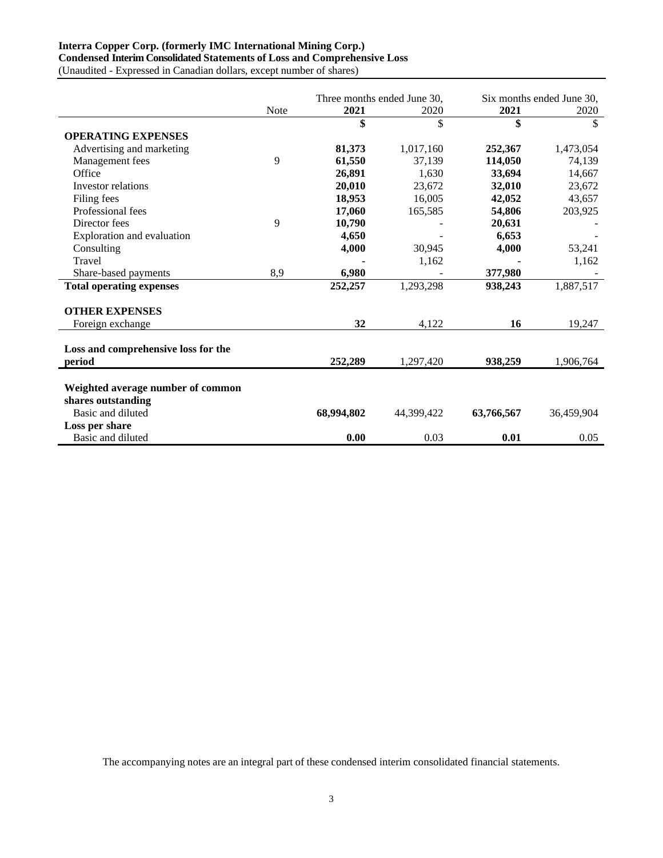# **Interra Copper Corp. (formerly IMC International Mining Corp.)**

**Condensed Interim Consolidated Statements of Loss and Comprehensive Loss**

(Unaudited - Expressed in Canadian dollars, except number of shares)

|                                     |             | Three months ended June 30. |            | Six months ended June 30. |            |
|-------------------------------------|-------------|-----------------------------|------------|---------------------------|------------|
|                                     | <b>Note</b> | 2021                        | 2020       | 2021                      | 2020       |
|                                     |             | \$                          | \$         | \$                        | \$         |
| <b>OPERATING EXPENSES</b>           |             |                             |            |                           |            |
| Advertising and marketing           |             | 81,373                      | 1,017,160  | 252,367                   | 1,473,054  |
| Management fees                     | 9           | 61,550                      | 37,139     | 114,050                   | 74,139     |
| Office                              |             | 26,891                      | 1,630      | 33,694                    | 14,667     |
| Investor relations                  |             | 20,010                      | 23,672     | 32,010                    | 23,672     |
| Filing fees                         |             | 18,953                      | 16,005     | 42,052                    | 43,657     |
| Professional fees                   |             | 17,060                      | 165,585    | 54,806                    | 203,925    |
| Director fees                       | 9           | 10,790                      |            | 20,631                    |            |
| Exploration and evaluation          |             | 4,650                       |            | 6,653                     |            |
| Consulting                          |             | 4,000                       | 30,945     | 4,000                     | 53,241     |
| Travel                              |             |                             | 1,162      |                           | 1,162      |
| Share-based payments                | 8,9         | 6,980                       |            | 377,980                   |            |
| <b>Total operating expenses</b>     |             | 252,257                     | 1,293,298  | 938,243                   | 1,887,517  |
| <b>OTHER EXPENSES</b>               |             |                             |            |                           |            |
| Foreign exchange                    |             | 32                          | 4,122      | 16                        | 19,247     |
| Loss and comprehensive loss for the |             |                             |            |                           |            |
| period                              |             | 252,289                     | 1,297,420  | 938,259                   | 1,906,764  |
|                                     |             |                             |            |                           |            |
| Weighted average number of common   |             |                             |            |                           |            |
| shares outstanding                  |             |                             |            |                           |            |
| Basic and diluted                   |             | 68,994,802                  | 44,399,422 | 63,766,567                | 36,459,904 |
| Loss per share                      |             |                             |            |                           |            |
| Basic and diluted                   |             | 0.00                        | 0.03       | 0.01                      | 0.05       |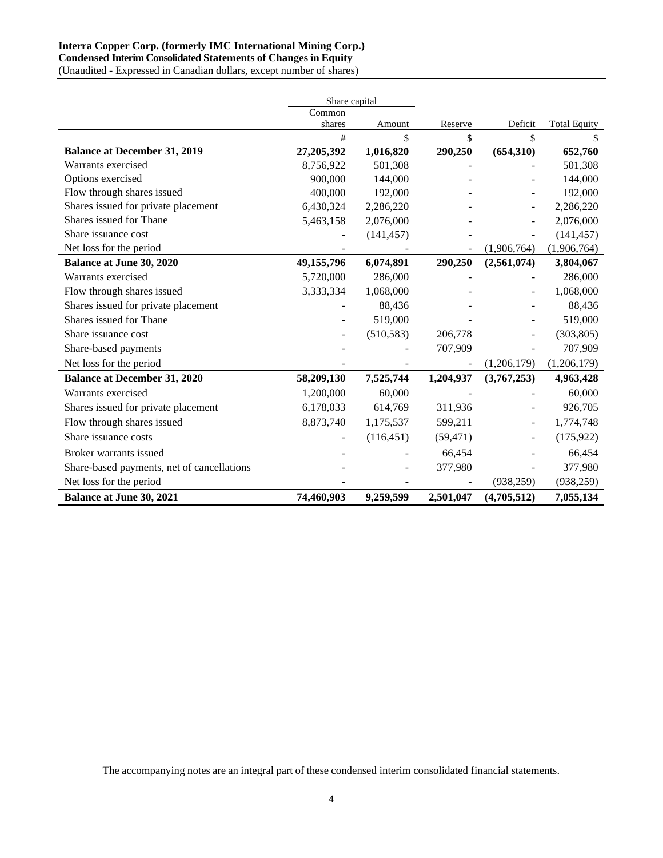## **Interra Copper Corp. (formerly IMC International Mining Corp.) Condensed Interim Consolidated Statements of Changes in Equity**

(Unaudited - Expressed in Canadian dollars, except number of shares)

|                                            | Share capital |            |           |             |                     |
|--------------------------------------------|---------------|------------|-----------|-------------|---------------------|
|                                            | Common        |            |           |             |                     |
|                                            | shares        | Amount     | Reserve   | Deficit     | <b>Total Equity</b> |
|                                            | #             | \$         | \$        | \$          | \$                  |
| <b>Balance at December 31, 2019</b>        | 27,205,392    | 1,016,820  | 290,250   | (654, 310)  | 652,760             |
| Warrants exercised                         | 8,756,922     | 501,308    |           |             | 501,308             |
| Options exercised                          | 900,000       | 144,000    |           |             | 144,000             |
| Flow through shares issued                 | 400,000       | 192,000    |           |             | 192,000             |
| Shares issued for private placement        | 6,430,324     | 2,286,220  |           |             | 2,286,220           |
| Shares issued for Thane                    | 5,463,158     | 2,076,000  |           |             | 2,076,000           |
| Share issuance cost                        |               | (141, 457) |           |             | (141, 457)          |
| Net loss for the period                    |               |            |           | (1,906,764) | (1,906,764)         |
| <b>Balance at June 30, 2020</b>            | 49,155,796    | 6,074,891  | 290,250   | (2,561,074) | 3,804,067           |
| Warrants exercised                         | 5,720,000     | 286,000    |           |             | 286,000             |
| Flow through shares issued                 | 3,333,334     | 1,068,000  |           |             | 1,068,000           |
| Shares issued for private placement        |               | 88,436     |           |             | 88,436              |
| Shares issued for Thane                    |               | 519,000    |           |             | 519,000             |
| Share issuance cost                        |               | (510, 583) | 206,778   |             | (303, 805)          |
| Share-based payments                       |               |            | 707,909   |             | 707,909             |
| Net loss for the period                    |               |            |           | (1,206,179) | (1,206,179)         |
| <b>Balance at December 31, 2020</b>        | 58,209,130    | 7,525,744  | 1,204,937 | (3,767,253) | 4,963,428           |
| Warrants exercised                         | 1,200,000     | 60,000     |           |             | 60,000              |
| Shares issued for private placement        | 6,178,033     | 614,769    | 311,936   |             | 926,705             |
| Flow through shares issued                 | 8,873,740     | 1,175,537  | 599,211   |             | 1,774,748           |
| Share issuance costs                       |               | (116, 451) | (59, 471) |             | (175, 922)          |
| Broker warrants issued                     |               |            | 66,454    |             | 66,454              |
| Share-based payments, net of cancellations |               |            | 377,980   |             | 377,980             |
| Net loss for the period                    |               |            |           | (938, 259)  | (938, 259)          |
| <b>Balance at June 30, 2021</b>            | 74,460,903    | 9,259,599  | 2,501,047 | (4,705,512) | 7,055,134           |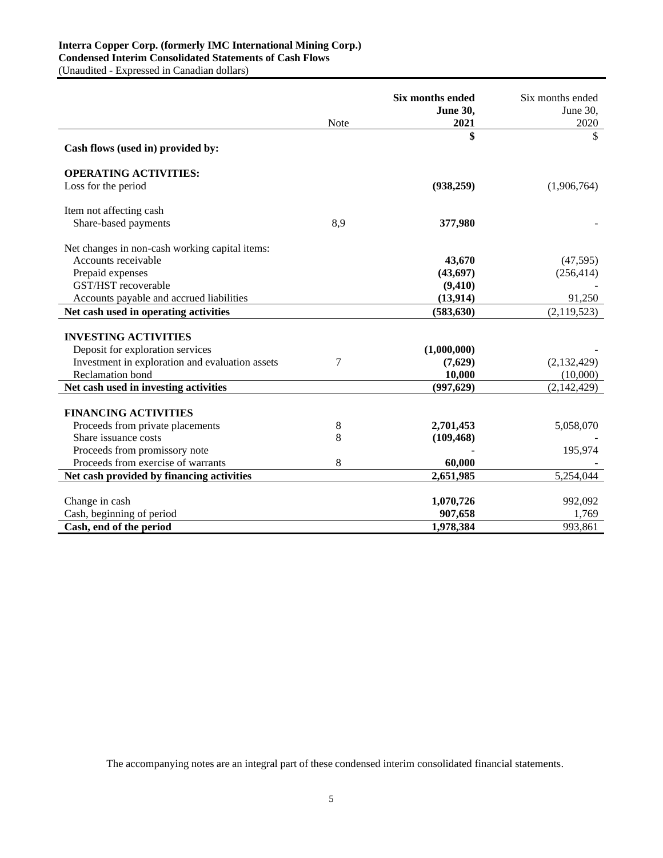## **Interra Copper Corp. (formerly IMC International Mining Corp.) Condensed Interim Consolidated Statements of Cash Flows**

(Unaudited - Expressed in Canadian dollars)

|                                                 |      | <b>Six months ended</b><br><b>June 30,</b> | Six months ended<br>June 30, |
|-------------------------------------------------|------|--------------------------------------------|------------------------------|
|                                                 | Note | 2021                                       | 2020                         |
| Cash flows (used in) provided by:               |      | \$                                         | \$                           |
| <b>OPERATING ACTIVITIES:</b>                    |      |                                            |                              |
| Loss for the period                             |      | (938, 259)                                 | (1,906,764)                  |
| Item not affecting cash                         |      |                                            |                              |
| Share-based payments                            | 8,9  | 377,980                                    |                              |
| Net changes in non-cash working capital items:  |      |                                            |                              |
| Accounts receivable                             |      | 43,670                                     | (47, 595)                    |
| Prepaid expenses                                |      | (43, 697)                                  | (256, 414)                   |
| GST/HST recoverable                             |      | (9,410)                                    |                              |
| Accounts payable and accrued liabilities        |      | (13, 914)                                  | 91,250                       |
| Net cash used in operating activities           |      | (583, 630)                                 | (2, 119, 523)                |
|                                                 |      |                                            |                              |
| <b>INVESTING ACTIVITIES</b>                     |      |                                            |                              |
| Deposit for exploration services                |      | (1,000,000)                                |                              |
| Investment in exploration and evaluation assets | 7    | (7,629)                                    | (2,132,429)                  |
| <b>Reclamation</b> bond                         |      | 10,000                                     | (10,000)                     |
| Net cash used in investing activities           |      | (997, 629)                                 | (2,142,429)                  |
| <b>FINANCING ACTIVITIES</b>                     |      |                                            |                              |
| Proceeds from private placements                | 8    | 2,701,453                                  | 5,058,070                    |
| Share issuance costs                            | 8    | (109, 468)                                 |                              |
| Proceeds from promissory note                   |      |                                            | 195,974                      |
| Proceeds from exercise of warrants              | 8    | 60,000                                     |                              |
| Net cash provided by financing activities       |      | 2,651,985                                  | 5,254,044                    |
|                                                 |      |                                            |                              |
| Change in cash                                  |      | 1,070,726                                  | 992,092                      |
| Cash, beginning of period                       |      | 907,658                                    | 1,769                        |
| Cash, end of the period                         |      | 1,978,384                                  | 993,861                      |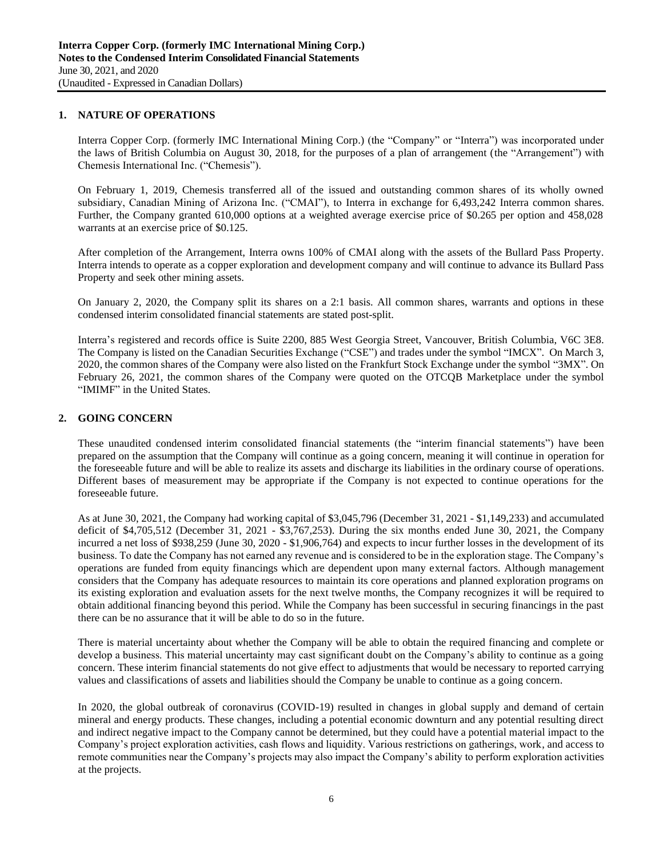## **1. NATURE OF OPERATIONS**

Interra Copper Corp. (formerly IMC International Mining Corp.) (the "Company" or "Interra") was incorporated under the laws of British Columbia on August 30, 2018, for the purposes of a plan of arrangement (the "Arrangement") with Chemesis International Inc. ("Chemesis").

On February 1, 2019, Chemesis transferred all of the issued and outstanding common shares of its wholly owned subsidiary, Canadian Mining of Arizona Inc. ("CMAI"), to Interra in exchange for 6,493,242 Interra common shares. Further, the Company granted 610,000 options at a weighted average exercise price of \$0.265 per option and 458,028 warrants at an exercise price of \$0.125.

After completion of the Arrangement, Interra owns 100% of CMAI along with the assets of the Bullard Pass Property. Interra intends to operate as a copper exploration and development company and will continue to advance its Bullard Pass Property and seek other mining assets.

On January 2, 2020, the Company split its shares on a 2:1 basis. All common shares, warrants and options in these condensed interim consolidated financial statements are stated post-split.

Interra's registered and records office is Suite 2200, 885 West Georgia Street, Vancouver, British Columbia, V6C 3E8. The Company is listed on the Canadian Securities Exchange ("CSE") and trades under the symbol "IMCX". On March 3, 2020, the common shares of the Company were also listed on the Frankfurt Stock Exchange under the symbol "3MX". On February 26, 2021, the common shares of the Company were quoted on the OTCQB Marketplace under the symbol "IMIMF" in the United States.

## **2. GOING CONCERN**

These unaudited condensed interim consolidated financial statements (the "interim financial statements") have been prepared on the assumption that the Company will continue as a going concern, meaning it will continue in operation for the foreseeable future and will be able to realize its assets and discharge its liabilities in the ordinary course of operations. Different bases of measurement may be appropriate if the Company is not expected to continue operations for the foreseeable future.

As at June 30, 2021, the Company had working capital of \$3,045,796 (December 31, 2021 - \$1,149,233) and accumulated deficit of \$4,705,512 (December 31, 2021 - \$3,767,253). During the six months ended June 30, 2021, the Company incurred a net loss of \$938,259 (June 30, 2020 - \$1,906,764) and expects to incur further losses in the development of its business. To date the Company has not earned any revenue and is considered to be in the exploration stage. The Company's operations are funded from equity financings which are dependent upon many external factors. Although management considers that the Company has adequate resources to maintain its core operations and planned exploration programs on its existing exploration and evaluation assets for the next twelve months, the Company recognizes it will be required to obtain additional financing beyond this period. While the Company has been successful in securing financings in the past there can be no assurance that it will be able to do so in the future.

There is material uncertainty about whether the Company will be able to obtain the required financing and complete or develop a business. This material uncertainty may cast significant doubt on the Company's ability to continue as a going concern. These interim financial statements do not give effect to adjustments that would be necessary to reported carrying values and classifications of assets and liabilities should the Company be unable to continue as a going concern.

In 2020, the global outbreak of coronavirus (COVID-19) resulted in changes in global supply and demand of certain mineral and energy products. These changes, including a potential economic downturn and any potential resulting direct and indirect negative impact to the Company cannot be determined, but they could have a potential material impact to the Company's project exploration activities, cash flows and liquidity. Various restrictions on gatherings, work, and access to remote communities near the Company's projects may also impact the Company's ability to perform exploration activities at the projects.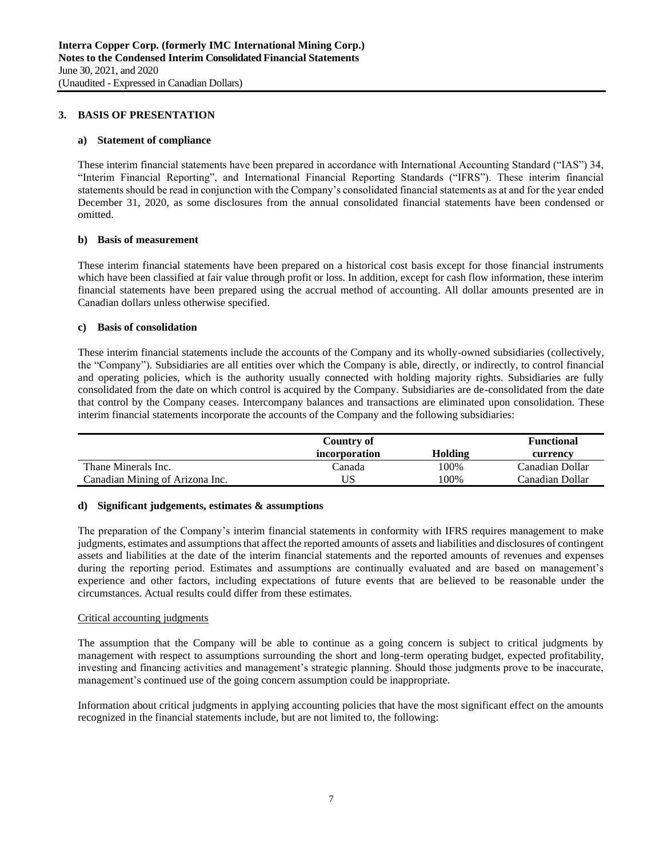## **3. BASIS OF PRESENTATION**

### **a) Statement of compliance**

These interim financial statements have been prepared in accordance with International Accounting Standard ("IAS") 34, "Interim Financial Reporting", and International Financial Reporting Standards ("IFRS"). These interim financial statements should be read in conjunction with the Company's consolidated financial statements as at and for the year ended December 31, 2020, as some disclosures from the annual consolidated financial statements have been condensed or omitted.

### **b) Basis of measurement**

These interim financial statements have been prepared on a historical cost basis except for those financial instruments which have been classified at fair value through profit or loss. In addition, except for cash flow information, these interim financial statements have been prepared using the accrual method of accounting. All dollar amounts presented are in Canadian dollars unless otherwise specified.

### **c) Basis of consolidation**

These interim financial statements include the accounts of the Company and its wholly-owned subsidiaries (collectively, the "Company"). Subsidiaries are all entities over which the Company is able, directly, or indirectly, to control financial and operating policies, which is the authority usually connected with holding majority rights. Subsidiaries are fully consolidated from the date on which control is acquired by the Company. Subsidiaries are de-consolidated from the date that control by the Company ceases. Intercompany balances and transactions are eliminated upon consolidation. These interim financial statements incorporate the accounts of the Company and the following subsidiaries:

|                                 | Country of    |         | <b>Functional</b> |
|---------------------------------|---------------|---------|-------------------|
|                                 | incorporation | Holding | currency          |
| Thane Minerals Inc.             | ∑anada        | 100%    | Canadian Dollar   |
| Canadian Mining of Arizona Inc. |               | 100%    | Canadian Dollar   |

### **d) Significant judgements, estimates & assumptions**

The preparation of the Company's interim financial statements in conformity with IFRS requires management to make judgments, estimates and assumptions that affect the reported amounts of assets and liabilities and disclosures of contingent assets and liabilities at the date of the interim financial statements and the reported amounts of revenues and expenses during the reporting period. Estimates and assumptions are continually evaluated and are based on management's experience and other factors, including expectations of future events that are believed to be reasonable under the circumstances. Actual results could differ from these estimates.

### Critical accounting judgments

The assumption that the Company will be able to continue as a going concern is subject to critical judgments by management with respect to assumptions surrounding the short and long-term operating budget, expected profitability, investing and financing activities and management's strategic planning. Should those judgments prove to be inaccurate, management's continued use of the going concern assumption could be inappropriate.

Information about critical judgments in applying accounting policies that have the most significant effect on the amounts recognized in the financial statements include, but are not limited to, the following: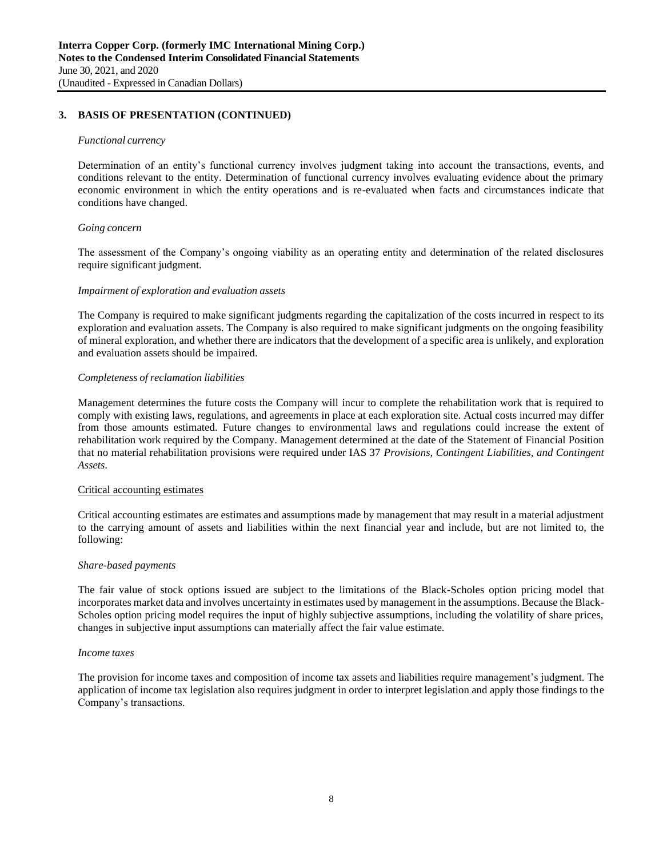## **3. BASIS OF PRESENTATION (CONTINUED)**

#### *Functional currency*

Determination of an entity's functional currency involves judgment taking into account the transactions, events, and conditions relevant to the entity. Determination of functional currency involves evaluating evidence about the primary economic environment in which the entity operations and is re-evaluated when facts and circumstances indicate that conditions have changed.

#### *Going concern*

The assessment of the Company's ongoing viability as an operating entity and determination of the related disclosures require significant judgment.

#### *Impairment of exploration and evaluation assets*

The Company is required to make significant judgments regarding the capitalization of the costs incurred in respect to its exploration and evaluation assets. The Company is also required to make significant judgments on the ongoing feasibility of mineral exploration, and whether there are indicators that the development of a specific area is unlikely, and exploration and evaluation assets should be impaired.

#### *Completeness of reclamation liabilities*

Management determines the future costs the Company will incur to complete the rehabilitation work that is required to comply with existing laws, regulations, and agreements in place at each exploration site. Actual costs incurred may differ from those amounts estimated. Future changes to environmental laws and regulations could increase the extent of rehabilitation work required by the Company. Management determined at the date of the Statement of Financial Position that no material rehabilitation provisions were required under IAS 37 *Provisions, Contingent Liabilities, and Contingent Assets*.

### Critical accounting estimates

Critical accounting estimates are estimates and assumptions made by management that may result in a material adjustment to the carrying amount of assets and liabilities within the next financial year and include, but are not limited to, the following:

## *Share-based payments*

The fair value of stock options issued are subject to the limitations of the Black-Scholes option pricing model that incorporates market data and involves uncertainty in estimates used by management in the assumptions. Because the Black-Scholes option pricing model requires the input of highly subjective assumptions, including the volatility of share prices, changes in subjective input assumptions can materially affect the fair value estimate.

#### *Income taxes*

The provision for income taxes and composition of income tax assets and liabilities require management's judgment. The application of income tax legislation also requires judgment in order to interpret legislation and apply those findings to the Company's transactions.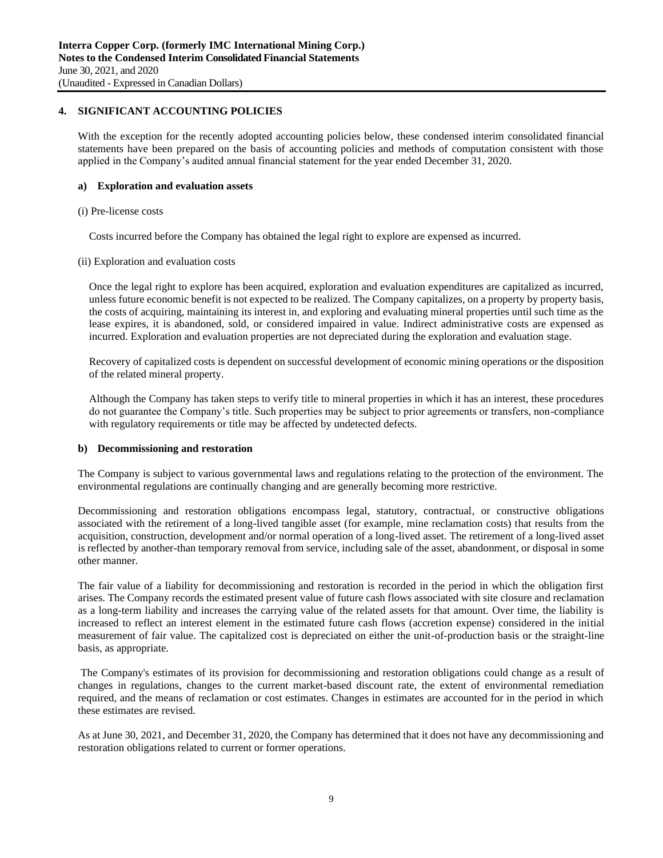## **4. SIGNIFICANT ACCOUNTING POLICIES**

With the exception for the recently adopted accounting policies below, these condensed interim consolidated financial statements have been prepared on the basis of accounting policies and methods of computation consistent with those applied in the Company's audited annual financial statement for the year ended December 31, 2020.

### **a) Exploration and evaluation assets**

### (i) Pre-license costs

Costs incurred before the Company has obtained the legal right to explore are expensed as incurred.

### (ii) Exploration and evaluation costs

Once the legal right to explore has been acquired, exploration and evaluation expenditures are capitalized as incurred, unless future economic benefit is not expected to be realized. The Company capitalizes, on a property by property basis, the costs of acquiring, maintaining its interest in, and exploring and evaluating mineral properties until such time as the lease expires, it is abandoned, sold, or considered impaired in value. Indirect administrative costs are expensed as incurred. Exploration and evaluation properties are not depreciated during the exploration and evaluation stage.

Recovery of capitalized costs is dependent on successful development of economic mining operations or the disposition of the related mineral property.

Although the Company has taken steps to verify title to mineral properties in which it has an interest, these procedures do not guarantee the Company's title. Such properties may be subject to prior agreements or transfers, non-compliance with regulatory requirements or title may be affected by undetected defects.

### **b) Decommissioning and restoration**

The Company is subject to various governmental laws and regulations relating to the protection of the environment. The environmental regulations are continually changing and are generally becoming more restrictive.

Decommissioning and restoration obligations encompass legal, statutory, contractual, or constructive obligations associated with the retirement of a long-lived tangible asset (for example, mine reclamation costs) that results from the acquisition, construction, development and/or normal operation of a long-lived asset. The retirement of a long-lived asset is reflected by another-than temporary removal from service, including sale of the asset, abandonment, or disposal in some other manner.

The fair value of a liability for decommissioning and restoration is recorded in the period in which the obligation first arises. The Company records the estimated present value of future cash flows associated with site closure and reclamation as a long-term liability and increases the carrying value of the related assets for that amount. Over time, the liability is increased to reflect an interest element in the estimated future cash flows (accretion expense) considered in the initial measurement of fair value. The capitalized cost is depreciated on either the unit-of-production basis or the straight-line basis, as appropriate.

The Company's estimates of its provision for decommissioning and restoration obligations could change as a result of changes in regulations, changes to the current market-based discount rate, the extent of environmental remediation required, and the means of reclamation or cost estimates. Changes in estimates are accounted for in the period in which these estimates are revised.

As at June 30, 2021, and December 31, 2020, the Company has determined that it does not have any decommissioning and restoration obligations related to current or former operations.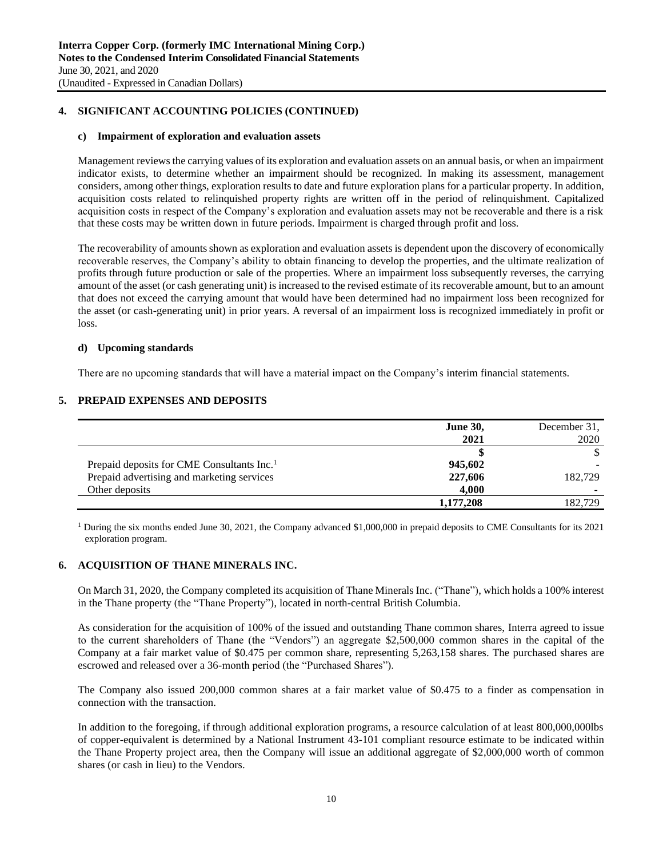## **4. SIGNIFICANT ACCOUNTING POLICIES (CONTINUED)**

#### **c) Impairment of exploration and evaluation assets**

Management reviews the carrying values of its exploration and evaluation assets on an annual basis, or when an impairment indicator exists, to determine whether an impairment should be recognized. In making its assessment, management considers, among other things, exploration results to date and future exploration plans for a particular property. In addition, acquisition costs related to relinquished property rights are written off in the period of relinquishment. Capitalized acquisition costs in respect of the Company's exploration and evaluation assets may not be recoverable and there is a risk that these costs may be written down in future periods. Impairment is charged through profit and loss.

The recoverability of amounts shown as exploration and evaluation assets is dependent upon the discovery of economically recoverable reserves, the Company's ability to obtain financing to develop the properties, and the ultimate realization of profits through future production or sale of the properties. Where an impairment loss subsequently reverses, the carrying amount of the asset (or cash generating unit) is increased to the revised estimate of its recoverable amount, but to an amount that does not exceed the carrying amount that would have been determined had no impairment loss been recognized for the asset (or cash-generating unit) in prior years. A reversal of an impairment loss is recognized immediately in profit or loss.

### **d) Upcoming standards**

There are no upcoming standards that will have a material impact on the Company's interim financial statements.

## **5. PREPAID EXPENSES AND DEPOSITS**

|                                                        | <b>June 30,</b> | December 31, |
|--------------------------------------------------------|-----------------|--------------|
|                                                        | 2021            | 2020         |
|                                                        |                 |              |
| Prepaid deposits for CME Consultants Inc. <sup>1</sup> | 945,602         |              |
| Prepaid advertising and marketing services             | 227,606         | 182,729      |
| Other deposits                                         | 4.000           |              |
|                                                        | 1,177,208       | 182.729      |

<sup>1</sup> During the six months ended June 30, 2021, the Company advanced \$1,000,000 in prepaid deposits to CME Consultants for its 2021 exploration program.

## **6. ACQUISITION OF THANE MINERALS INC.**

On March 31, 2020, the Company completed its acquisition of Thane Minerals Inc. ("Thane"), which holds a 100% interest in the Thane property (the "Thane Property"), located in north-central British Columbia.

As consideration for the acquisition of 100% of the issued and outstanding Thane common shares, Interra agreed to issue to the current shareholders of Thane (the "Vendors") an aggregate \$2,500,000 common shares in the capital of the Company at a fair market value of \$0.475 per common share, representing 5,263,158 shares. The purchased shares are escrowed and released over a 36-month period (the "Purchased Shares").

The Company also issued 200,000 common shares at a fair market value of \$0.475 to a finder as compensation in connection with the transaction.

In addition to the foregoing, if through additional exploration programs, a resource calculation of at least 800,000,000lbs of copper-equivalent is determined by a National Instrument 43-101 compliant resource estimate to be indicated within the Thane Property project area, then the Company will issue an additional aggregate of \$2,000,000 worth of common shares (or cash in lieu) to the Vendors.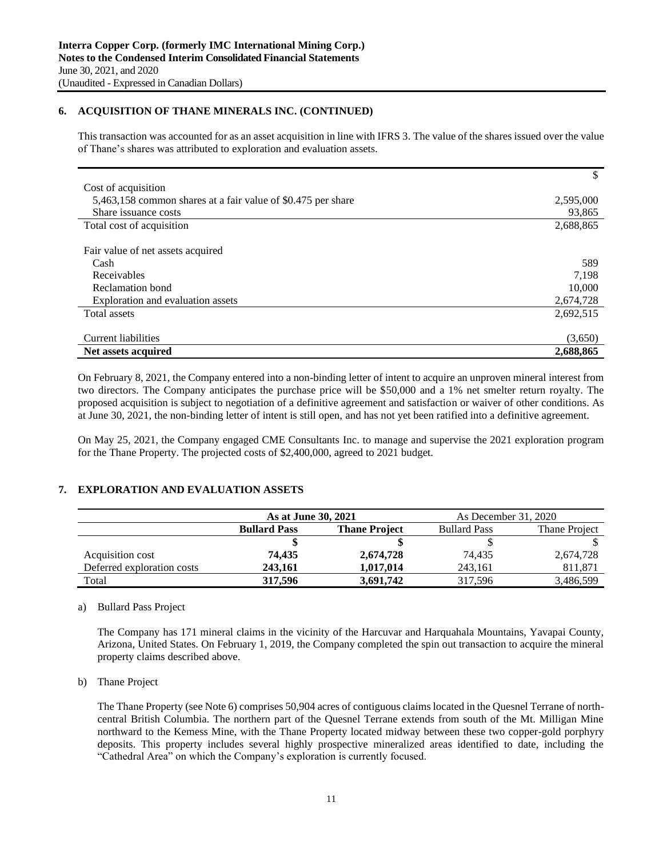## **6. ACQUISITION OF THANE MINERALS INC. (CONTINUED)**

This transaction was accounted for as an asset acquisition in line with IFRS 3. The value of the shares issued over the value of Thane's shares was attributed to exploration and evaluation assets.

|                                                              | \$        |
|--------------------------------------------------------------|-----------|
| Cost of acquisition                                          |           |
| 5,463,158 common shares at a fair value of \$0.475 per share | 2,595,000 |
| Share issuance costs                                         | 93,865    |
| Total cost of acquisition                                    | 2,688,865 |
|                                                              |           |
| Fair value of net assets acquired                            |           |
| Cash                                                         | 589       |
| Receivables                                                  | 7,198     |
| Reclamation bond                                             | 10,000    |
| Exploration and evaluation assets                            | 2,674,728 |
| Total assets                                                 | 2,692,515 |
|                                                              |           |
| <b>Current liabilities</b>                                   | (3,650)   |
| Net assets acquired                                          | 2,688,865 |

On February 8, 2021, the Company entered into a non-binding letter of intent to acquire an unproven mineral interest from two directors. The Company anticipates the purchase price will be \$50,000 and a 1% net smelter return royalty. The proposed acquisition is subject to negotiation of a definitive agreement and satisfaction or waiver of other conditions. As at June 30, 2021, the non-binding letter of intent is still open, and has not yet been ratified into a definitive agreement.

On May 25, 2021, the Company engaged CME Consultants Inc. to manage and supervise the 2021 exploration program for the Thane Property. The projected costs of \$2,400,000, agreed to 2021 budget.

## **7. EXPLORATION AND EVALUATION ASSETS**

|                            | As at June 30, 2021 |                      | As December 31, 2020 |               |
|----------------------------|---------------------|----------------------|----------------------|---------------|
|                            | <b>Bullard Pass</b> | <b>Thane Project</b> | <b>Bullard Pass</b>  | Thane Project |
|                            |                     |                      |                      |               |
| Acquisition cost           | 74.435              | 2,674,728            | 74,435               | 2,674,728     |
| Deferred exploration costs | 243.161             | 1.017.014            | 243.161              | 811,871       |
| Total                      | 317.596             | 3,691,742            | 317.596              | 3,486,599     |

### a) Bullard Pass Project

The Company has 171 mineral claims in the vicinity of the Harcuvar and Harquahala Mountains, Yavapai County, Arizona, United States. On February 1, 2019, the Company completed the spin out transaction to acquire the mineral property claims described above.

b) Thane Project

The Thane Property (see Note 6) comprises 50,904 acres of contiguous claims located in the Quesnel Terrane of northcentral British Columbia. The northern part of the Quesnel Terrane extends from south of the Mt. Milligan Mine northward to the Kemess Mine, with the Thane Property located midway between these two copper-gold porphyry deposits. This property includes several highly prospective mineralized areas identified to date, including the "Cathedral Area" on which the Company's exploration is currently focused.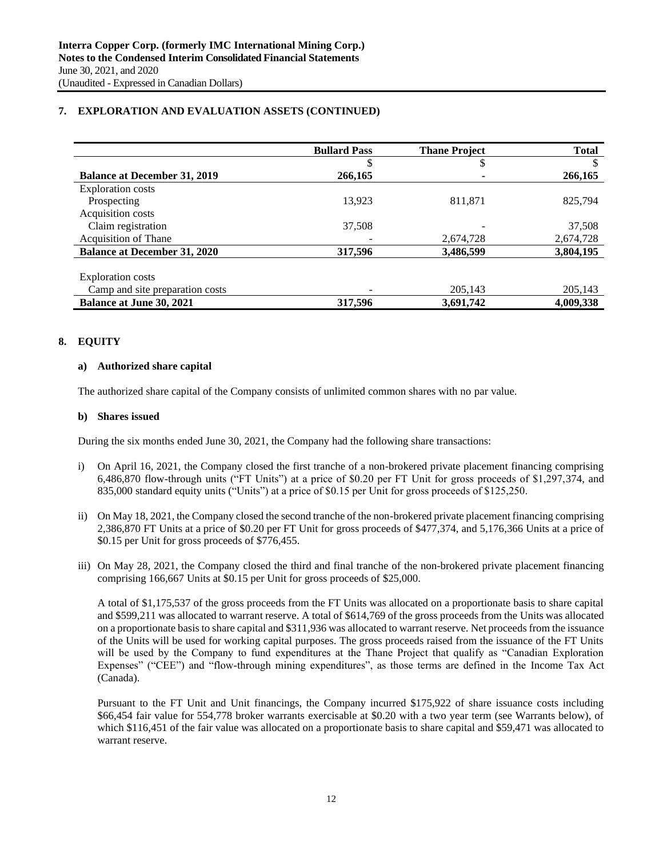## **7. EXPLORATION AND EVALUATION ASSETS (CONTINUED)**

|                                     | <b>Bullard Pass</b> | <b>Thane Project</b> | <b>Total</b> |
|-------------------------------------|---------------------|----------------------|--------------|
|                                     |                     | J                    | \$.          |
| <b>Balance at December 31, 2019</b> | 266,165             |                      | 266,165      |
| <b>Exploration costs</b>            |                     |                      |              |
| Prospecting                         | 13.923              | 811,871              | 825,794      |
| Acquisition costs                   |                     |                      |              |
| Claim registration                  | 37.508              |                      | 37,508       |
| <b>Acquisition of Thane</b>         |                     | 2,674,728            | 2,674,728    |
| <b>Balance at December 31, 2020</b> | 317,596             | 3,486,599            | 3,804,195    |
|                                     |                     |                      |              |
| <b>Exploration</b> costs            |                     |                      |              |
| Camp and site preparation costs     |                     | 205,143              | 205,143      |
| <b>Balance at June 30, 2021</b>     | 317,596             | 3,691,742            | 4,009,338    |

## **8. EQUITY**

### **a) Authorized share capital**

The authorized share capital of the Company consists of unlimited common shares with no par value.

#### **b) Shares issued**

During the six months ended June 30, 2021, the Company had the following share transactions:

- i) On April 16, 2021, the Company closed the first tranche of a non-brokered private placement financing comprising 6,486,870 flow-through units ("FT Units") at a price of \$0.20 per FT Unit for gross proceeds of \$1,297,374, and 835,000 standard equity units ("Units") at a price of \$0.15 per Unit for gross proceeds of \$125,250.
- ii) On May 18, 2021, the Company closed the second tranche of the non-brokered private placement financing comprising 2,386,870 FT Units at a price of \$0.20 per FT Unit for gross proceeds of \$477,374, and 5,176,366 Units at a price of \$0.15 per Unit for gross proceeds of \$776,455.
- iii) On May 28, 2021, the Company closed the third and final tranche of the non-brokered private placement financing comprising 166,667 Units at \$0.15 per Unit for gross proceeds of \$25,000.

A total of \$1,175,537 of the gross proceeds from the FT Units was allocated on a proportionate basis to share capital and \$599,211 was allocated to warrant reserve. A total of \$614,769 of the gross proceeds from the Units was allocated on a proportionate basis to share capital and \$311,936 was allocated to warrant reserve. Net proceeds from the issuance of the Units will be used for working capital purposes. The gross proceeds raised from the issuance of the FT Units will be used by the Company to fund expenditures at the Thane Project that qualify as "Canadian Exploration Expenses" ("CEE") and "flow-through mining expenditures", as those terms are defined in the Income Tax Act (Canada).

Pursuant to the FT Unit and Unit financings, the Company incurred \$175,922 of share issuance costs including \$66,454 fair value for 554,778 broker warrants exercisable at \$0.20 with a two year term (see Warrants below), of which \$116,451 of the fair value was allocated on a proportionate basis to share capital and \$59,471 was allocated to warrant reserve.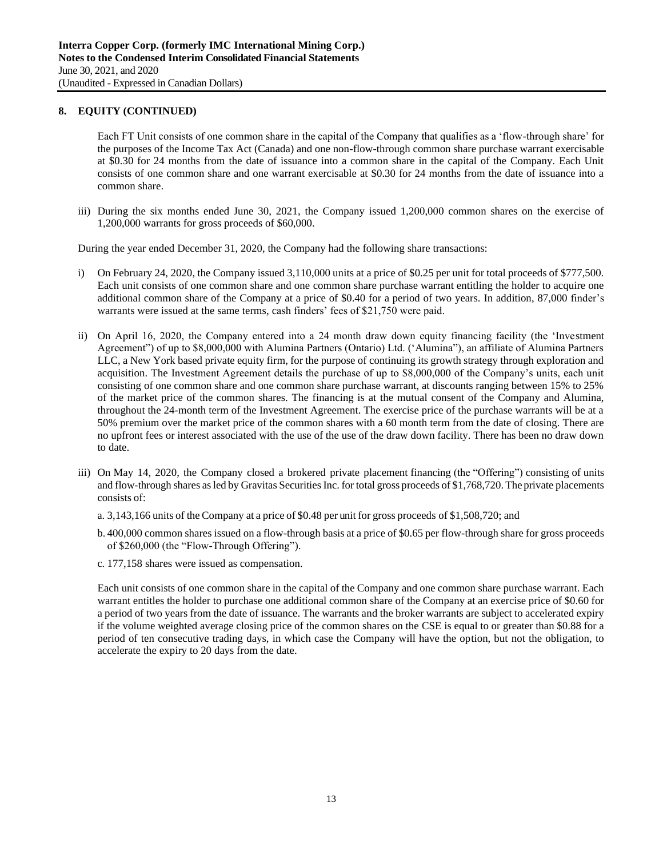Each FT Unit consists of one common share in the capital of the Company that qualifies as a 'flow-through share' for the purposes of the Income Tax Act (Canada) and one non-flow-through common share purchase warrant exercisable at \$0.30 for 24 months from the date of issuance into a common share in the capital of the Company. Each Unit consists of one common share and one warrant exercisable at \$0.30 for 24 months from the date of issuance into a common share.

iii) During the six months ended June 30, 2021, the Company issued 1,200,000 common shares on the exercise of 1,200,000 warrants for gross proceeds of \$60,000.

During the year ended December 31, 2020, the Company had the following share transactions:

- i) On February 24, 2020, the Company issued 3,110,000 units at a price of \$0.25 per unit for total proceeds of \$777,500. Each unit consists of one common share and one common share purchase warrant entitling the holder to acquire one additional common share of the Company at a price of \$0.40 for a period of two years. In addition, 87,000 finder's warrants were issued at the same terms, cash finders' fees of \$21,750 were paid.
- ii) On April 16, 2020, the Company entered into a 24 month draw down equity financing facility (the 'Investment Agreement") of up to \$8,000,000 with Alumina Partners (Ontario) Ltd. ('Alumina"), an affiliate of Alumina Partners LLC, a New York based private equity firm, for the purpose of continuing its growth strategy through exploration and acquisition. The Investment Agreement details the purchase of up to \$8,000,000 of the Company's units, each unit consisting of one common share and one common share purchase warrant, at discounts ranging between 15% to 25% of the market price of the common shares. The financing is at the mutual consent of the Company and Alumina, throughout the 24-month term of the Investment Agreement. The exercise price of the purchase warrants will be at a 50% premium over the market price of the common shares with a 60 month term from the date of closing. There are no upfront fees or interest associated with the use of the use of the draw down facility. There has been no draw down to date.
- iii) On May 14, 2020, the Company closed a brokered private placement financing (the "Offering") consisting of units and flow-through shares as led by Gravitas Securities Inc. for total gross proceeds of \$1,768,720. The private placements consists of:
	- a. 3,143,166 units of the Company at a price of \$0.48 per unit for gross proceeds of \$1,508,720; and
	- b. 400,000 common shares issued on a flow-through basis at a price of \$0.65 per flow-through share for gross proceeds of \$260,000 (the "Flow-Through Offering").
	- c. 177,158 shares were issued as compensation.

Each unit consists of one common share in the capital of the Company and one common share purchase warrant. Each warrant entitles the holder to purchase one additional common share of the Company at an exercise price of \$0.60 for a period of two years from the date of issuance. The warrants and the broker warrants are subject to accelerated expiry if the volume weighted average closing price of the common shares on the CSE is equal to or greater than \$0.88 for a period of ten consecutive trading days, in which case the Company will have the option, but not the obligation, to accelerate the expiry to 20 days from the date.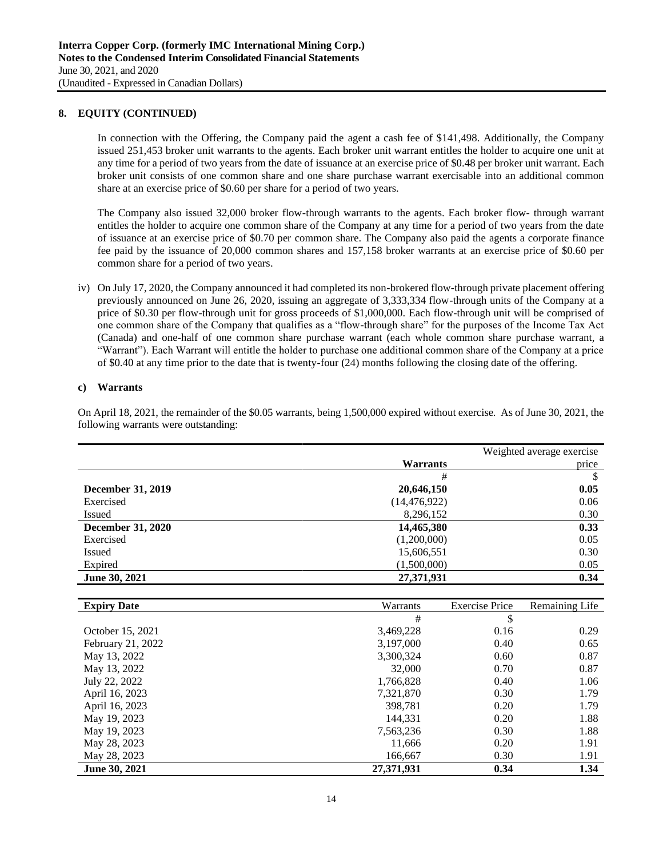In connection with the Offering, the Company paid the agent a cash fee of \$141,498. Additionally, the Company issued 251,453 broker unit warrants to the agents. Each broker unit warrant entitles the holder to acquire one unit at any time for a period of two years from the date of issuance at an exercise price of \$0.48 per broker unit warrant. Each broker unit consists of one common share and one share purchase warrant exercisable into an additional common share at an exercise price of \$0.60 per share for a period of two years.

The Company also issued 32,000 broker flow-through warrants to the agents. Each broker flow- through warrant entitles the holder to acquire one common share of the Company at any time for a period of two years from the date of issuance at an exercise price of \$0.70 per common share. The Company also paid the agents a corporate finance fee paid by the issuance of 20,000 common shares and 157,158 broker warrants at an exercise price of \$0.60 per common share for a period of two years.

iv) On July 17, 2020, the Company announced it had completed its non-brokered flow-through private placement offering previously announced on June 26, 2020, issuing an aggregate of 3,333,334 flow-through units of the Company at a price of \$0.30 per flow-through unit for gross proceeds of \$1,000,000. Each flow-through unit will be comprised of one common share of the Company that qualifies as a "flow-through share" for the purposes of the Income Tax Act (Canada) and one-half of one common share purchase warrant (each whole common share purchase warrant, a "Warrant"). Each Warrant will entitle the holder to purchase one additional common share of the Company at a price of \$0.40 at any time prior to the date that is twenty-four (24) months following the closing date of the offering.

### **c) Warrants**

On April 18, 2021, the remainder of the \$0.05 warrants, being 1,500,000 expired without exercise. As of June 30, 2021, the following warrants were outstanding:

|                          |                 | Weighted average exercise |
|--------------------------|-----------------|---------------------------|
|                          | <b>Warrants</b> | price                     |
|                          | #               | \$                        |
| <b>December 31, 2019</b> | 20,646,150      | 0.05                      |
| Exercised                | (14, 476, 922)  | 0.06                      |
| <b>Issued</b>            | 8,296,152       | 0.30                      |
| <b>December 31, 2020</b> | 14,465,380      | 0.33                      |
| Exercised                | (1,200,000)     | 0.05                      |
| <b>Issued</b>            | 15,606,551      | 0.30                      |
| Expired                  | (1,500,000)     | 0.05                      |
| June 30, 2021            | 27,371,931      | 0.34                      |

| <b>Expiry Date</b> | Warrants   | <b>Exercise Price</b> | Remaining Life |
|--------------------|------------|-----------------------|----------------|
|                    | #          | \$                    |                |
| October 15, 2021   | 3,469,228  | 0.16                  | 0.29           |
| February 21, 2022  | 3,197,000  | 0.40                  | 0.65           |
| May 13, 2022       | 3,300,324  | 0.60                  | 0.87           |
| May 13, 2022       | 32,000     | 0.70                  | 0.87           |
| July 22, 2022      | 1,766,828  | 0.40                  | 1.06           |
| April 16, 2023     | 7,321,870  | 0.30                  | 1.79           |
| April 16, 2023     | 398,781    | 0.20                  | 1.79           |
| May 19, 2023       | 144.331    | 0.20                  | 1.88           |
| May 19, 2023       | 7,563,236  | 0.30                  | 1.88           |
| May 28, 2023       | 11,666     | 0.20                  | 1.91           |
| May 28, 2023       | 166,667    | 0.30                  | 1.91           |
| June 30, 2021      | 27,371,931 | 0.34                  | 1.34           |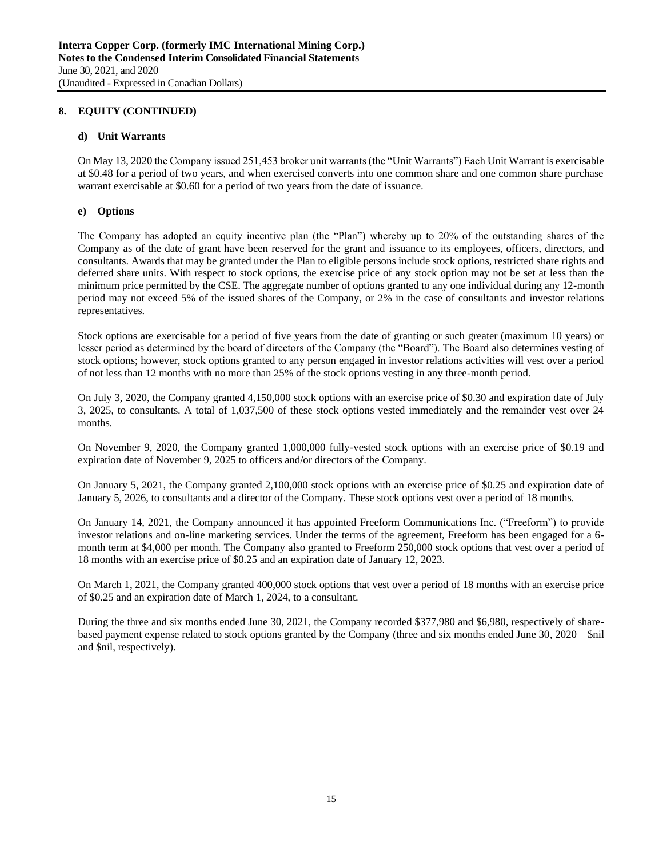## **d) Unit Warrants**

On May 13, 2020 the Company issued 251,453 broker unit warrants (the "Unit Warrants") Each Unit Warrant is exercisable at \$0.48 for a period of two years, and when exercised converts into one common share and one common share purchase warrant exercisable at \$0.60 for a period of two years from the date of issuance.

## **e) Options**

The Company has adopted an equity incentive plan (the "Plan") whereby up to 20% of the outstanding shares of the Company as of the date of grant have been reserved for the grant and issuance to its employees, officers, directors, and consultants. Awards that may be granted under the Plan to eligible persons include stock options, restricted share rights and deferred share units. With respect to stock options, the exercise price of any stock option may not be set at less than the minimum price permitted by the CSE. The aggregate number of options granted to any one individual during any 12-month period may not exceed 5% of the issued shares of the Company, or 2% in the case of consultants and investor relations representatives.

Stock options are exercisable for a period of five years from the date of granting or such greater (maximum 10 years) or lesser period as determined by the board of directors of the Company (the "Board"). The Board also determines vesting of stock options; however, stock options granted to any person engaged in investor relations activities will vest over a period of not less than 12 months with no more than 25% of the stock options vesting in any three-month period.

On July 3, 2020, the Company granted 4,150,000 stock options with an exercise price of \$0.30 and expiration date of July 3, 2025, to consultants. A total of 1,037,500 of these stock options vested immediately and the remainder vest over 24 months.

On November 9, 2020, the Company granted 1,000,000 fully-vested stock options with an exercise price of \$0.19 and expiration date of November 9, 2025 to officers and/or directors of the Company.

On January 5, 2021, the Company granted 2,100,000 stock options with an exercise price of \$0.25 and expiration date of January 5, 2026, to consultants and a director of the Company. These stock options vest over a period of 18 months.

On January 14, 2021, the Company announced it has appointed Freeform Communications Inc. ("Freeform") to provide investor relations and on-line marketing services. Under the terms of the agreement, Freeform has been engaged for a 6 month term at \$4,000 per month. The Company also granted to Freeform 250,000 stock options that vest over a period of 18 months with an exercise price of \$0.25 and an expiration date of January 12, 2023.

On March 1, 2021, the Company granted 400,000 stock options that vest over a period of 18 months with an exercise price of \$0.25 and an expiration date of March 1, 2024, to a consultant.

During the three and six months ended June 30, 2021, the Company recorded \$377,980 and \$6,980, respectively of sharebased payment expense related to stock options granted by the Company (three and six months ended June 30, 2020 – \$nil and \$nil, respectively).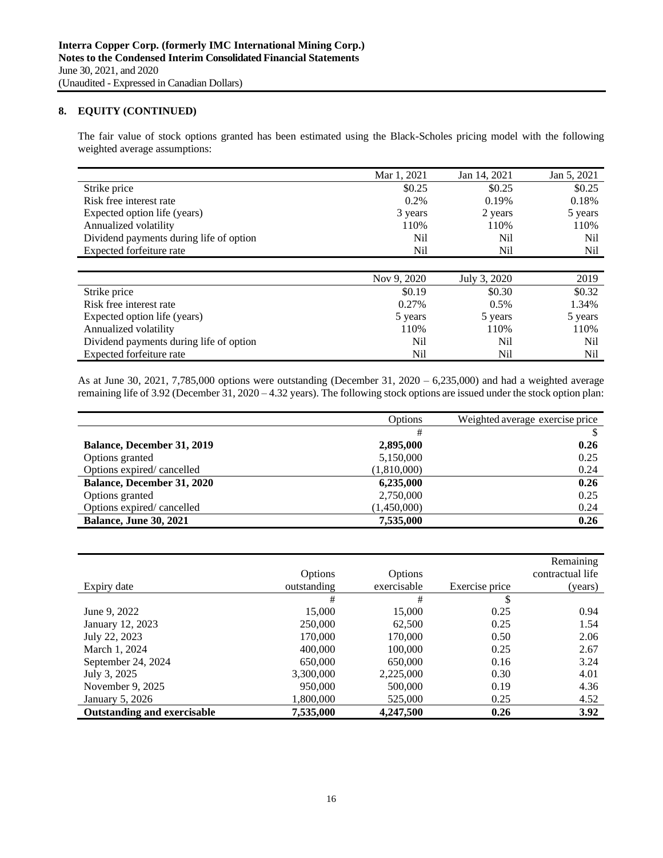The fair value of stock options granted has been estimated using the Black-Scholes pricing model with the following weighted average assumptions:

|                                         | Mar 1, 2021 | Jan 14, 2021 | Jan 5, 2021 |
|-----------------------------------------|-------------|--------------|-------------|
| Strike price                            | \$0.25      | \$0.25       | \$0.25      |
| Risk free interest rate                 | 0.2%        | 0.19%        | 0.18%       |
| Expected option life (years)            | 3 years     | 2 years      | 5 years     |
| Annualized volatility                   | 110%        | 110%         | 110%        |
| Dividend payments during life of option | Nil         | Nil          | Nil         |
| Expected forfeiture rate                | Nil         | Nil          | Nil         |

|                                         | Nov 9, 2020 | July 3, 2020 | 2019    |
|-----------------------------------------|-------------|--------------|---------|
| Strike price                            | \$0.19      | \$0.30       | \$0.32  |
| Risk free interest rate                 | $0.27\%$    | 0.5%         | 1.34%   |
| Expected option life (years)            | 5 years     | 5 years      | 5 years |
| Annualized volatility                   | 110%        | 110%         | 110%    |
| Dividend payments during life of option | Nil         | Nil          | Nil     |
| Expected forfeiture rate                | Nil         | Nil          | Nil     |

As at June 30, 2021, 7,785,000 options were outstanding (December 31, 2020 – 6,235,000) and had a weighted average remaining life of 3.92 (December 31, 2020 – 4.32 years). The following stock options are issued under the stock option plan:

|                                   | Options     | Weighted average exercise price |  |
|-----------------------------------|-------------|---------------------------------|--|
|                                   | #           |                                 |  |
| <b>Balance, December 31, 2019</b> | 2,895,000   | 0.26                            |  |
| Options granted                   | 5,150,000   | 0.25                            |  |
| Options expired/cancelled         | (1,810,000) | 0.24                            |  |
| <b>Balance, December 31, 2020</b> | 6,235,000   | 0.26                            |  |
| Options granted                   | 2,750,000   | 0.25                            |  |
| Options expired/cancelled         | (1,450,000) | 0.24                            |  |
| <b>Balance, June 30, 2021</b>     | 7,535,000   | 0.26                            |  |

|                                    |             |             |                | Remaining        |
|------------------------------------|-------------|-------------|----------------|------------------|
|                                    | Options     | Options     |                | contractual life |
| Expiry date                        | outstanding | exercisable | Exercise price | (years)          |
|                                    | #           | #           | S              |                  |
| June 9, 2022                       | 15,000      | 15,000      | 0.25           | 0.94             |
| January 12, 2023                   | 250,000     | 62,500      | 0.25           | 1.54             |
| July 22, 2023                      | 170,000     | 170,000     | 0.50           | 2.06             |
| March 1, 2024                      | 400,000     | 100,000     | 0.25           | 2.67             |
| September 24, 2024                 | 650,000     | 650,000     | 0.16           | 3.24             |
| July 3, 2025                       | 3,300,000   | 2,225,000   | 0.30           | 4.01             |
| November 9, 2025                   | 950,000     | 500,000     | 0.19           | 4.36             |
| January 5, 2026                    | 1,800,000   | 525,000     | 0.25           | 4.52             |
| <b>Outstanding and exercisable</b> | 7,535,000   | 4,247,500   | 0.26           | 3.92             |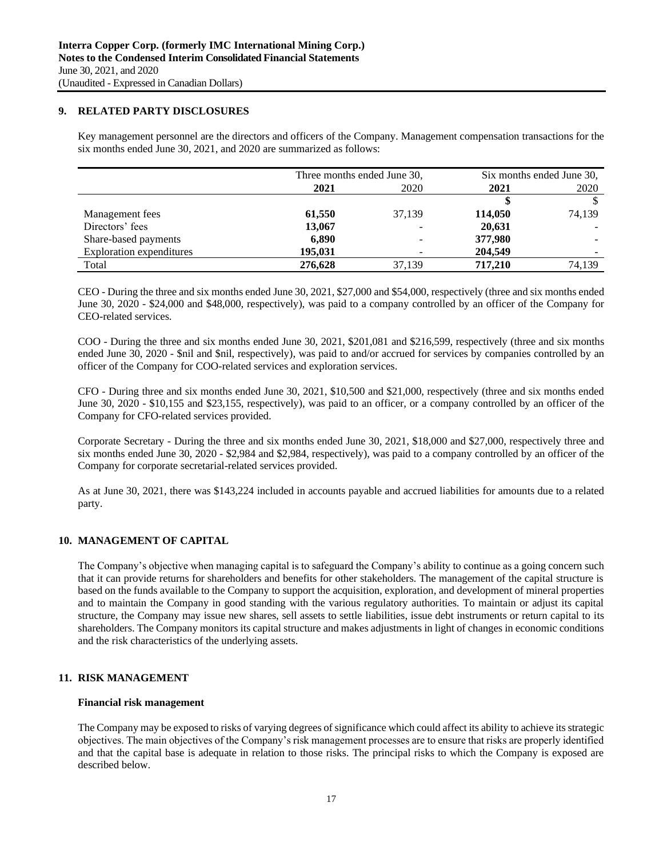### **9. RELATED PARTY DISCLOSURES**

Key management personnel are the directors and officers of the Company. Management compensation transactions for the six months ended June 30, 2021, and 2020 are summarized as follows:

|                          | Three months ended June 30, |        | Six months ended June 30, |        |
|--------------------------|-----------------------------|--------|---------------------------|--------|
|                          | 2021                        | 2020   | 2021                      | 2020   |
|                          |                             |        |                           |        |
| Management fees          | 61,550                      | 37,139 | 114,050                   | 74,139 |
| Directors' fees          | 13,067                      |        | 20,631                    |        |
| Share-based payments     | 6,890                       |        | 377,980                   |        |
| Exploration expenditures | 195,031                     |        | 204,549                   |        |
| Total                    | 276,628                     | 37,139 | 717,210                   | 74,139 |

CEO - During the three and six months ended June 30, 2021, \$27,000 and \$54,000, respectively (three and six months ended June 30, 2020 - \$24,000 and \$48,000, respectively), was paid to a company controlled by an officer of the Company for CEO-related services.

COO - During the three and six months ended June 30, 2021, \$201,081 and \$216,599, respectively (three and six months ended June 30, 2020 - \$nil and \$nil, respectively), was paid to and/or accrued for services by companies controlled by an officer of the Company for COO-related services and exploration services.

CFO - During three and six months ended June 30, 2021, \$10,500 and \$21,000, respectively (three and six months ended June 30, 2020 - \$10,155 and \$23,155, respectively), was paid to an officer, or a company controlled by an officer of the Company for CFO-related services provided.

Corporate Secretary - During the three and six months ended June 30, 2021, \$18,000 and \$27,000, respectively three and six months ended June 30, 2020 - \$2,984 and \$2,984, respectively), was paid to a company controlled by an officer of the Company for corporate secretarial-related services provided.

As at June 30, 2021, there was \$143,224 included in accounts payable and accrued liabilities for amounts due to a related party.

## **10. MANAGEMENT OF CAPITAL**

The Company's objective when managing capital is to safeguard the Company's ability to continue as a going concern such that it can provide returns for shareholders and benefits for other stakeholders. The management of the capital structure is based on the funds available to the Company to support the acquisition, exploration, and development of mineral properties and to maintain the Company in good standing with the various regulatory authorities. To maintain or adjust its capital structure, the Company may issue new shares, sell assets to settle liabilities, issue debt instruments or return capital to its shareholders. The Company monitors its capital structure and makes adjustments in light of changes in economic conditions and the risk characteristics of the underlying assets.

## **11. RISK MANAGEMENT**

### **Financial risk management**

The Company may be exposed to risks of varying degrees of significance which could affect its ability to achieve its strategic objectives. The main objectives of the Company's risk management processes are to ensure that risks are properly identified and that the capital base is adequate in relation to those risks. The principal risks to which the Company is exposed are described below.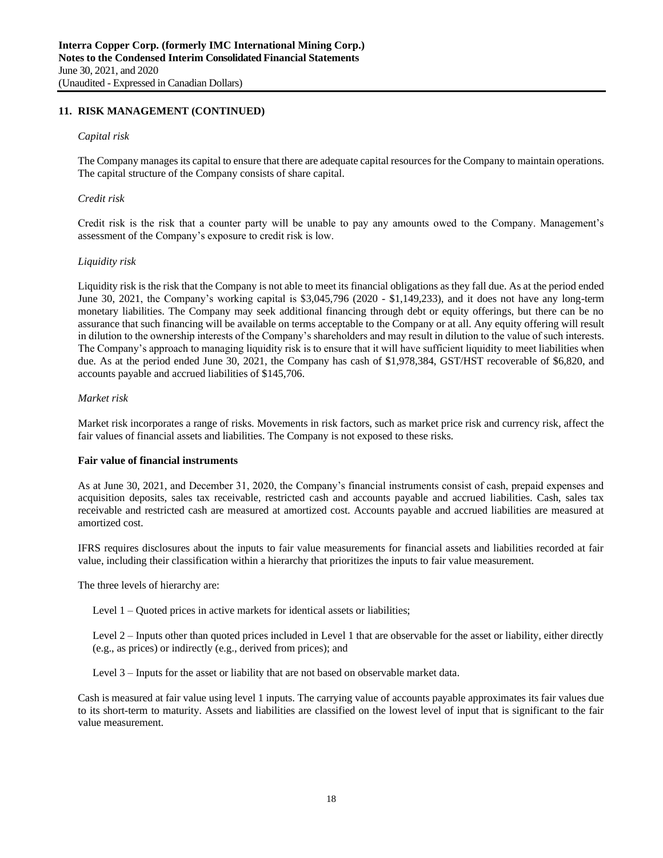## **11. RISK MANAGEMENT (CONTINUED)**

#### *Capital risk*

The Company manages its capital to ensure that there are adequate capital resources for the Company to maintain operations. The capital structure of the Company consists of share capital.

#### *Credit risk*

Credit risk is the risk that a counter party will be unable to pay any amounts owed to the Company. Management's assessment of the Company's exposure to credit risk is low.

#### *Liquidity risk*

Liquidity risk is the risk that the Company is not able to meet its financial obligations as they fall due. As at the period ended June 30, 2021, the Company's working capital is \$3,045,796 (2020 - \$1,149,233), and it does not have any long-term monetary liabilities. The Company may seek additional financing through debt or equity offerings, but there can be no assurance that such financing will be available on terms acceptable to the Company or at all. Any equity offering will result in dilution to the ownership interests of the Company's shareholders and may result in dilution to the value of such interests. The Company's approach to managing liquidity risk is to ensure that it will have sufficient liquidity to meet liabilities when due. As at the period ended June 30, 2021, the Company has cash of \$1,978,384, GST/HST recoverable of \$6,820, and accounts payable and accrued liabilities of \$145,706.

### *Market risk*

Market risk incorporates a range of risks. Movements in risk factors, such as market price risk and currency risk, affect the fair values of financial assets and liabilities. The Company is not exposed to these risks.

### **Fair value of financial instruments**

As at June 30, 2021, and December 31, 2020, the Company's financial instruments consist of cash, prepaid expenses and acquisition deposits, sales tax receivable, restricted cash and accounts payable and accrued liabilities. Cash, sales tax receivable and restricted cash are measured at amortized cost. Accounts payable and accrued liabilities are measured at amortized cost.

IFRS requires disclosures about the inputs to fair value measurements for financial assets and liabilities recorded at fair value, including their classification within a hierarchy that prioritizes the inputs to fair value measurement.

The three levels of hierarchy are:

Level 1 – Quoted prices in active markets for identical assets or liabilities;

Level 2 – Inputs other than quoted prices included in Level 1 that are observable for the asset or liability, either directly (e.g., as prices) or indirectly (e.g., derived from prices); and

Level 3 – Inputs for the asset or liability that are not based on observable market data.

Cash is measured at fair value using level 1 inputs. The carrying value of accounts payable approximates its fair values due to its short-term to maturity. Assets and liabilities are classified on the lowest level of input that is significant to the fair value measurement.